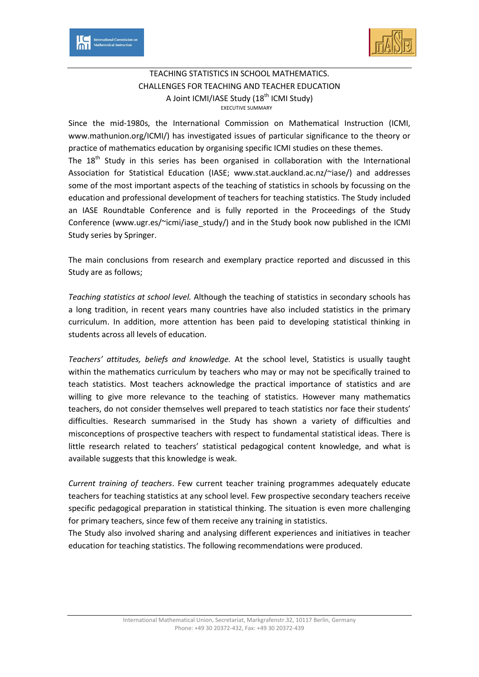



## TEACHING STATISTICS IN SCHOOL MATHEMATICS. CHALLENGES FOR TEACHING AND TEACHER EDUCATION A Joint ICMI/IASE Study  $(18<sup>th</sup>$  ICMI Study) EXECUTIVE SUMMARY

Since the mid-1980s, the International Commission on Mathematical Instruction (ICMI, www.mathunion.org/ICMI/) has investigated issues of particular significance to the theory or practice of mathematics education by organising specific ICMI studies on these themes. The  $18<sup>th</sup>$  Study in this series has been organised in collaboration with the International Association for Statistical Education (IASE; www.stat.auckland.ac.nz/~iase/) and addresses some of the most important aspects of the teaching of statistics in schools by focussing on the education and professional development of teachers for teaching statistics. The Study included an IASE Roundtable Conference and is fully reported in the Proceedings of the Study Conference (www.ugr.es/~icmi/iase\_study/) and in the Study book now published in the ICMI Study series by Springer.

The main conclusions from research and exemplary practice reported and discussed in this Study are as follows;

*Teaching statistics at school level.* Although the teaching of statistics in secondary schools has a long tradition, in recent years many countries have also included statistics in the primary curriculum. In addition, more attention has been paid to developing statistical thinking in students across all levels of education.

*Teachers' attitudes, beliefs and knowledge.* At the school level, Statistics is usually taught within the mathematics curriculum by teachers who may or may not be specifically trained to teach statistics. Most teachers acknowledge the practical importance of statistics and are willing to give more relevance to the teaching of statistics. However many mathematics teachers, do not consider themselves well prepared to teach statistics nor face their students' difficulties. Research summarised in the Study has shown a variety of difficulties and misconceptions of prospective teachers with respect to fundamental statistical ideas. There is little research related to teachers' statistical pedagogical content knowledge, and what is available suggests that this knowledge is weak.

*Current training of teachers*. Few current teacher training programmes adequately educate teachers for teaching statistics at any school level. Few prospective secondary teachers receive specific pedagogical preparation in statistical thinking. The situation is even more challenging for primary teachers, since few of them receive any training in statistics.

The Study also involved sharing and analysing different experiences and initiatives in teacher education for teaching statistics. The following recommendations were produced.